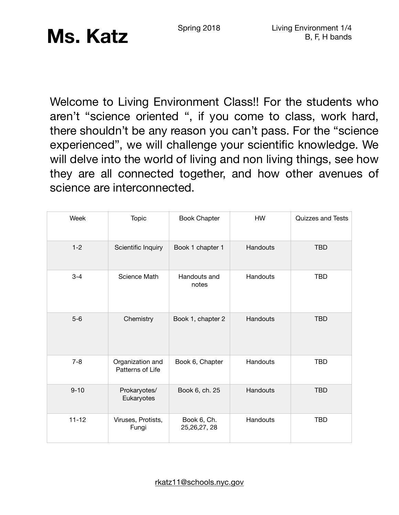Welcome to Living Environment Class!! For the students who aren't "science oriented ", if you come to class, work hard, there shouldn't be any reason you can't pass. For the "science experienced", we will challenge your scientific knowledge. We will delve into the world of living and non living things, see how they are all connected together, and how other avenues of science are interconnected.

| Week      | <b>Topic</b>                         | <b>Book Chapter</b>           | HW       | Quizzes and Tests |
|-----------|--------------------------------------|-------------------------------|----------|-------------------|
| $1 - 2$   | Scientific Inquiry                   | Book 1 chapter 1              | Handouts | <b>TBD</b>        |
| $3 - 4$   | Science Math                         | Handouts and<br>notes         | Handouts | <b>TBD</b>        |
| $5-6$     | Chemistry                            | Book 1, chapter 2             | Handouts | <b>TBD</b>        |
| $7 - 8$   | Organization and<br>Patterns of Life | Book 6, Chapter               | Handouts | <b>TBD</b>        |
| $9 - 10$  | Prokaryotes/<br>Eukaryotes           | Book 6, ch. 25                | Handouts | <b>TBD</b>        |
| $11 - 12$ | Viruses, Protists,<br>Fungi          | Book 6, Ch.<br>25, 26, 27, 28 | Handouts | <b>TBD</b>        |

[rkatz11@schools.nyc.gov](mailto:rkatz11@schools.nyc.gov)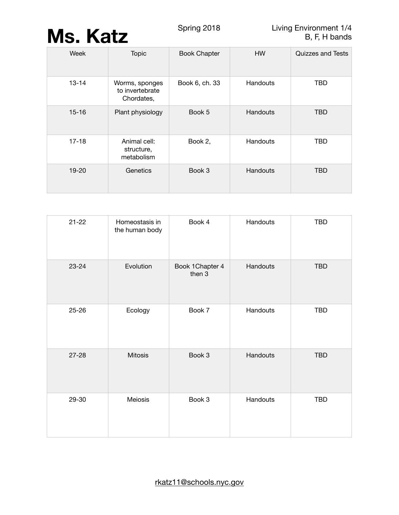## **Ms. Katz** Spring 2018 Living Environment 1/4<br>B, F, H bands

| Week      | <b>Topic</b>                                    | <b>Book Chapter</b> | <b>HW</b>       | <b>Quizzes and Tests</b> |
|-----------|-------------------------------------------------|---------------------|-----------------|--------------------------|
| $13 - 14$ | Worms, sponges<br>to invertebrate<br>Chordates, | Book 6, ch. 33      | <b>Handouts</b> | <b>TBD</b>               |
| $15 - 16$ | Plant physiology                                | Book 5              | Handouts        | <b>TBD</b>               |
| $17 - 18$ | Animal cell:<br>structure,<br>metabolism        | Book 2,             | <b>Handouts</b> | TBD                      |
| 19-20     | Genetics                                        | Book 3              | Handouts        | TBD                      |

| $21 - 22$ | Homeostasis in<br>the human body | Book 4                    | Handouts | <b>TBD</b> |
|-----------|----------------------------------|---------------------------|----------|------------|
| 23-24     | Evolution                        | Book 1Chapter 4<br>then 3 | Handouts | <b>TBD</b> |
| $25 - 26$ | Ecology                          | Book 7                    | Handouts | <b>TBD</b> |
| $27 - 28$ | <b>Mitosis</b>                   | Book 3                    | Handouts | <b>TBD</b> |
| 29-30     | Meiosis                          | Book 3                    | Handouts | <b>TBD</b> |

[rkatz11@schools.nyc.gov](mailto:rkatz11@schools.nyc.gov)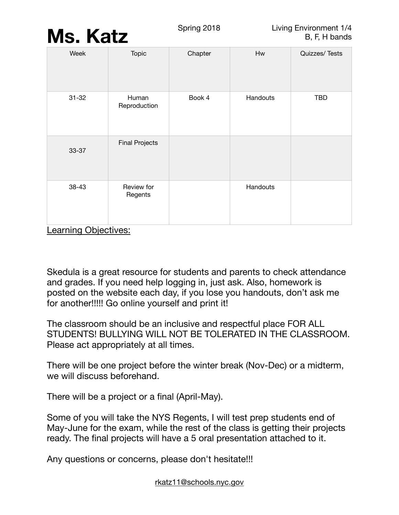| Week                                 | Topic                 | Chapter | Hw       | Quizzes/Tests |
|--------------------------------------|-----------------------|---------|----------|---------------|
| $31 - 32$                            | Human<br>Reproduction | Book 4  | Handouts | <b>TBD</b>    |
| 33-37                                | <b>Final Projects</b> |         |          |               |
| 38-43                                | Review for<br>Regents |         | Handouts |               |
| $\mathbf{r}$<br>$\sim$ $\sim$ $\sim$ | .                     |         |          |               |

**Learning Objectives:** 

Skedula is a great resource for students and parents to check attendance and grades. If you need help logging in, just ask. Also, homework is posted on the website each day, if you lose you handouts, don't ask me for another!!!!! Go online yourself and print it!

The classroom should be an inclusive and respectful place FOR ALL STUDENTS! BULLYING WILL NOT BE TOLERATED IN THE CLASSROOM. Please act appropriately at all times.

There will be one project before the winter break (Nov-Dec) or a midterm, we will discuss beforehand.

There will be a project or a final (April-May).

Some of you will take the NYS Regents, I will test prep students end of May-June for the exam, while the rest of the class is getting their projects ready. The final projects will have a 5 oral presentation attached to it.

Any questions or concerns, please don't hesitate!!!